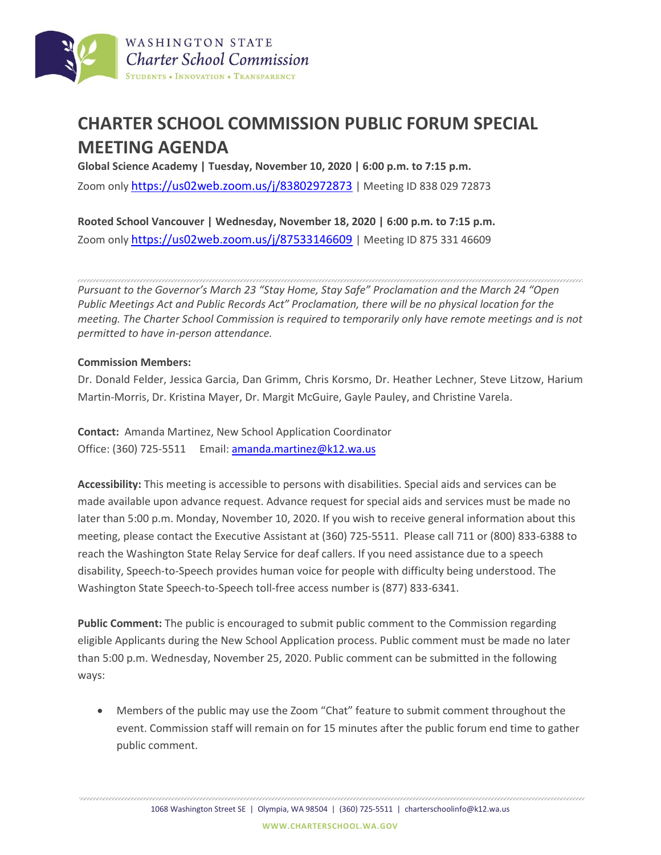

## **CHARTER SCHOOL COMMISSION PUBLIC FORUM SPECIAL MEETING AGENDA**

**Global Science Academy | Tuesday, November 10, 2020 | 6:00 p.m. to 7:15 p.m.** Zoom only [https://us02web.zoom.us/j/83802972873](https://nam02.safelinks.protection.outlook.com/?url=https%3A%2F%2Fus02web.zoom.us%2Fj%2F83802972873&data=04%7C01%7CJoshua.Halsey%40k12.wa.us%7Cafffa21051b94df2d1ea08d8804b0288%7Cb2fe5ccf10a546feae45a0267412af7a%7C0%7C0%7C637400406942644532%7CUnknown%7CTWFpbGZsb3d8eyJWIjoiMC4wLjAwMDAiLCJQIjoiV2luMzIiLCJBTiI6Ik1haWwiLCJXVCI6Mn0%3D%7C1000&sdata=PpOfYjqRNPDIiNWv7zm5zcvr2Kkf7TU%2FmOv7aRmGMCU%3D&reserved=0) | Meeting ID 838 029 72873

**Rooted School Vancouver | Wednesday, November 18, 2020 | 6:00 p.m. to 7:15 p.m.** Zoom only [https://us02web.zoom.us/j/87533146609](https://nam02.safelinks.protection.outlook.com/?url=https%3A%2F%2Fus02web.zoom.us%2Fj%2F87533146609&data=04%7C01%7CJoshua.Halsey%40k12.wa.us%7Ca22fa5b27f4b4f2c7fb808d8804af041%7Cb2fe5ccf10a546feae45a0267412af7a%7C0%7C0%7C637400406637463682%7CUnknown%7CTWFpbGZsb3d8eyJWIjoiMC4wLjAwMDAiLCJQIjoiV2luMzIiLCJBTiI6Ik1haWwiLCJXVCI6Mn0%3D%7C1000&sdata=lP3VBRbkmmWmFUetbHXb%2FeW8HIpDFRhykc4Gdlwmo0c%3D&reserved=0) | Meeting ID 875 331 46609

*Pursuant to the Governor's March 23 "Stay Home, Stay Safe" Proclamation and the March 24 "Open Public Meetings Act and Public Records Act" Proclamation, there will be no physical location for the meeting. The Charter School Commission is required to temporarily only have remote meetings and is not permitted to have in-person attendance.*

## **Commission Members:**

Dr. Donald Felder, Jessica Garcia, Dan Grimm, Chris Korsmo, Dr. Heather Lechner, Steve Litzow, Harium Martin-Morris, Dr. Kristina Mayer, Dr. Margit McGuire, Gayle Pauley, and Christine Varela.

**Contact:** Amanda Martinez, New School Application Coordinator Office: (360) 725-5511 Email[: amanda.martinez@k12.wa.us](mailto:amanda.martinez@k12.wa.us)

**Accessibility:** This meeting is accessible to persons with disabilities. Special aids and services can be made available upon advance request. Advance request for special aids and services must be made no later than 5:00 p.m. Monday, November 10, 2020. If you wish to receive general information about this meeting, please contact the Executive Assistant at (360) 725-5511. Please call 711 or (800) 833-6388 to reach the Washington State Relay Service for deaf callers. If you need assistance due to a speech disability, Speech-to-Speech provides human voice for people with difficulty being understood. The Washington State Speech-to-Speech toll-free access number is (877) 833-6341.

**Public Comment:** The public is encouraged to submit public comment to the Commission regarding eligible Applicants during the New School Application process. Public comment must be made no later than 5:00 p.m. Wednesday, November 25, 2020. Public comment can be submitted in the following ways:

 Members of the public may use the Zoom "Chat" feature to submit comment throughout the event. Commission staff will remain on for 15 minutes after the public forum end time to gather public comment.

1068 Washington Street SE | Olympia, WA 98504 | (360) 725-5511 | charterschoolinfo@k12.wa.us